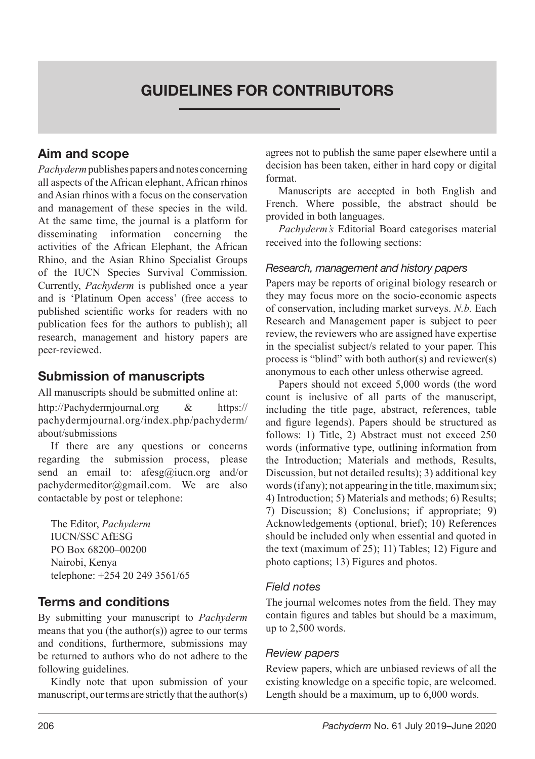# GUIDELINES FOR CONTRIBUTORS

### Aim and scope

*Pachyderm* publishes papers and notes concerning all aspects of the African elephant, African rhinos and Asian rhinos with a focus on the conservation and management of these species in the wild. At the same time, the journal is a platform for disseminating information concerning the activities of the African Elephant, the African Rhino, and the Asian Rhino Specialist Groups of the IUCN Species Survival Commission. Currently, *Pachyderm* is published once a year and is 'Platinum Open access' (free access to published scientific works for readers with no publication fees for the authors to publish); all research, management and history papers are peer-reviewed.

### Submission of manuscripts

All manuscripts should be submitted online at:

http://Pachydermjournal.org & https:// pachydermjournal.org/index.php/pachyderm/ about/submissions

If there are any questions or concerns regarding the submission process, please send an email to: afesg@iucn.org and/or pachydermeditor@gmail.com. We are also contactable by post or telephone:

The Editor, *Pachyderm* IUCN/SSC AfESG PO Box 68200–00200 Nairobi, Kenya telephone: +254 20 249 3561/65

### Terms and conditions

By submitting your manuscript to *Pachyderm* means that you (the author(s)) agree to our terms and conditions, furthermore, submissions may be returned to authors who do not adhere to the following guidelines.

Kindly note that upon submission of your manuscript, our terms are strictly that the author(s) agrees not to publish the same paper elsewhere until a decision has been taken, either in hard copy or digital format.

Manuscripts are accepted in both English and French. Where possible, the abstract should be provided in both languages.

*Pachyderm's* Editorial Board categorises material received into the following sections:

#### *Research, management and history papers*

Papers may be reports of original biology research or they may focus more on the socio-economic aspects of conservation, including market surveys. *N.b.* Each Research and Management paper is subject to peer review, the reviewers who are assigned have expertise in the specialist subject/s related to your paper. This process is "blind" with both author(s) and reviewer(s) anonymous to each other unless otherwise agreed.

Papers should not exceed 5,000 words (the word count is inclusive of all parts of the manuscript, including the title page, abstract, references, table and figure legends). Papers should be structured as follows: 1) Title, 2) Abstract must not exceed 250 words (informative type, outlining information from the Introduction; Materials and methods, Results, Discussion, but not detailed results); 3) additional key words (if any); not appearing in the title, maximum six; 4) Introduction; 5) Materials and methods; 6) Results; 7) Discussion; 8) Conclusions; if appropriate; 9) Acknowledgements (optional, brief); 10) References should be included only when essential and quoted in the text (maximum of 25); 11) Tables; 12) Figure and photo captions; 13) Figures and photos.

#### *Field notes*

The journal welcomes notes from the field. They may contain figures and tables but should be a maximum, up to 2,500 words.

#### *Review papers*

Review papers, which are unbiased reviews of all the existing knowledge on a specific topic, are welcomed. Length should be a maximum, up to 6,000 words.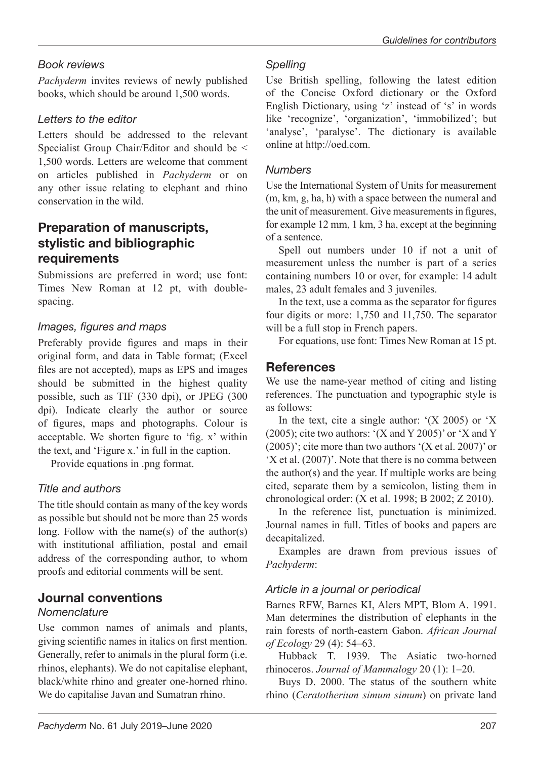## *Book reviews*

*Pachyderm* invites reviews of newly published books, which should be around 1,500 words.

## *Letters to the editor*

Letters should be addressed to the relevant Specialist Group Chair/Editor and should be < 1,500 words. Letters are welcome that comment on articles published in *Pachyderm* or on any other issue relating to elephant and rhino conservation in the wild.

## Preparation of manuscripts, stylistic and bibliographic requirements

Submissions are preferred in word; use font: Times New Roman at 12 pt, with doublespacing.

## *Images, figures and maps*

Preferably provide figures and maps in their original form, and data in Table format; (Excel files are not accepted), maps as EPS and images should be submitted in the highest quality possible, such as TIF (330 dpi), or JPEG (300 dpi). Indicate clearly the author or source of figures, maps and photographs. Colour is acceptable. We shorten figure to 'fig. x' within the text, and 'Figure x.' in full in the caption.

Provide equations in .png format.

# *Title and authors*

The title should contain as many of the key words as possible but should not be more than 25 words long. Follow with the name(s) of the author(s) with institutional affiliation, postal and email address of the corresponding author, to whom proofs and editorial comments will be sent.

# Journal conventions

## *Nomenclature*

Use common names of animals and plants, giving scientific names in italics on first mention. Generally, refer to animals in the plural form (i.e. rhinos, elephants). We do not capitalise elephant, black/white rhino and greater one-horned rhino. We do capitalise Javan and Sumatran rhino.

## *Spelling*

Use British spelling, following the latest edition of the Concise Oxford dictionary or the Oxford English Dictionary, using 'z' instead of 's' in words like 'recognize', 'organization', 'immobilized'; but 'analyse', 'paralyse'. The dictionary is available online at http://oed.com.

## *Numbers*

Use the International System of Units for measurement (m, km, g, ha, h) with a space between the numeral and the unit of measurement. Give measurements in figures, for example 12 mm, 1 km, 3 ha, except at the beginning of a sentence.

Spell out numbers under 10 if not a unit of measurement unless the number is part of a series containing numbers 10 or over, for example: 14 adult males, 23 adult females and 3 juveniles.

In the text, use a comma as the separator for figures four digits or more: 1,750 and 11,750. The separator will be a full stop in French papers.

For equations, use font: Times New Roman at 15 pt.

## **References**

We use the name-year method of citing and listing references. The punctuation and typographic style is as follows:

In the text, cite a single author:  $(X 2005)$  or  $'X$ (2005); cite two authors: '(X and Y 2005)' or 'X and Y  $(2005)$ ; cite more than two authors '(X et al. 2007)' or 'X et al. (2007)'. Note that there is no comma between the author(s) and the year. If multiple works are being cited, separate them by a semicolon, listing them in chronological order: (X et al. 1998; B 2002; Z 2010).

In the reference list, punctuation is minimized. Journal names in full. Titles of books and papers are decapitalized.

Examples are drawn from previous issues of *Pachyderm*:

## *Article in a journal or periodical*

Barnes RFW, Barnes KI, Alers MPT, Blom A. 1991. Man determines the distribution of elephants in the rain forests of north-eastern Gabon. *African Journal of Ecology* 29 (4): 54–63.

Hubback T. 1939. The Asiatic two-horned rhinoceros. *Journal of Mammalogy* 20 (1): 1–20.

Buys D. 2000. The status of the southern white rhino (*Ceratotherium simum simum*) on private land